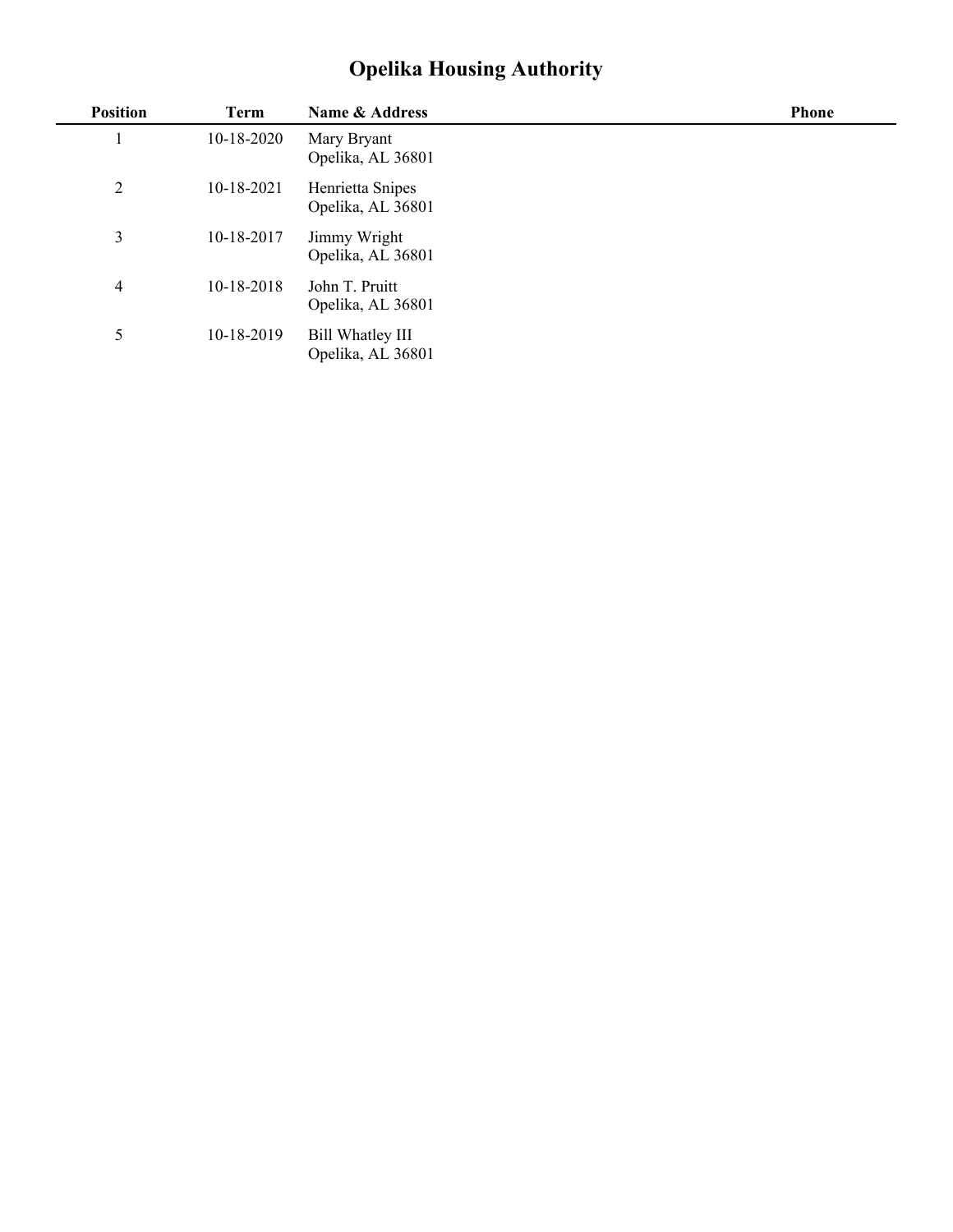## **Opelika Housing Authority**

| <b>Position</b> | <b>Term</b>  | Name & Address                        | <b>Phone</b> |
|-----------------|--------------|---------------------------------------|--------------|
|                 | $10-18-2020$ | Mary Bryant<br>Opelika, AL 36801      |              |
| 2               | 10-18-2021   | Henrietta Snipes<br>Opelika, AL 36801 |              |
| 3               | 10-18-2017   | Jimmy Wright<br>Opelika, AL 36801     |              |
| 4               | 10-18-2018   | John T. Pruitt<br>Opelika, AL 36801   |              |
| 5               | 10-18-2019   | Bill Whatley III<br>Opelika, AL 36801 |              |